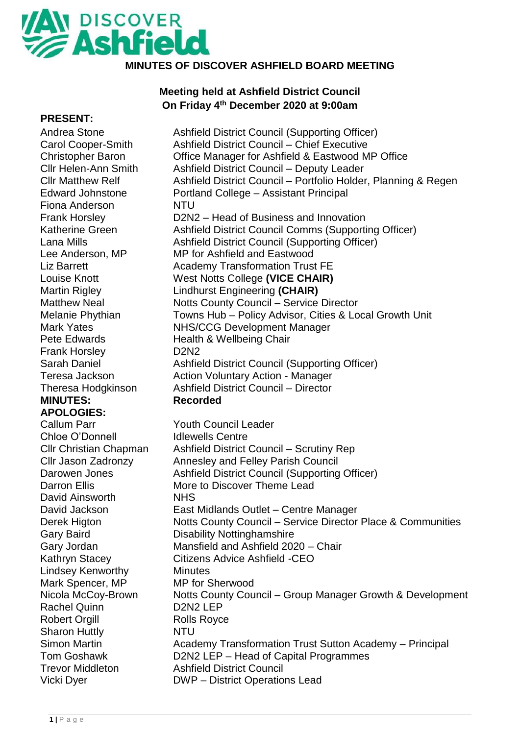## **AN DISCOVER MINUTES OF DISCOVER ASHFIELD BOARD MEETING**

## **Meeting held at Ashfield District Council On Friday 4th December 2020 at 9:00am**

| <b>PRESENT:</b>               |                                                                |
|-------------------------------|----------------------------------------------------------------|
| Andrea Stone                  | Ashfield District Council (Supporting Officer)                 |
| <b>Carol Cooper-Smith</b>     | <b>Ashfield District Council - Chief Executive</b>             |
| <b>Christopher Baron</b>      | Office Manager for Ashfield & Eastwood MP Office               |
| <b>Cllr Helen-Ann Smith</b>   | Ashfield District Council - Deputy Leader                      |
| <b>Cllr Matthew Relf</b>      | Ashfield District Council – Portfolio Holder, Planning & Regen |
| <b>Edward Johnstone</b>       | Portland College - Assistant Principal                         |
| Fiona Anderson                | <b>NTU</b>                                                     |
| <b>Frank Horsley</b>          | D2N2 – Head of Business and Innovation                         |
| <b>Katherine Green</b>        | Ashfield District Council Comms (Supporting Officer)           |
| Lana Mills                    | Ashfield District Council (Supporting Officer)                 |
| Lee Anderson, MP              | MP for Ashfield and Eastwood                                   |
| <b>Liz Barrett</b>            | <b>Academy Transformation Trust FE</b>                         |
| Louise Knott                  | West Notts College (VICE CHAIR)                                |
| <b>Martin Rigley</b>          | <b>Lindhurst Engineering (CHAIR)</b>                           |
| <b>Matthew Neal</b>           | <b>Notts County Council - Service Director</b>                 |
| Melanie Phythian              | Towns Hub - Policy Advisor, Cities & Local Growth Unit         |
| <b>Mark Yates</b>             | <b>NHS/CCG Development Manager</b>                             |
| <b>Pete Edwards</b>           | Health & Wellbeing Chair                                       |
| <b>Frank Horsley</b>          | <b>D2N2</b>                                                    |
| <b>Sarah Daniel</b>           | Ashfield District Council (Supporting Officer)                 |
| Teresa Jackson                | <b>Action Voluntary Action - Manager</b>                       |
| Theresa Hodgkinson            | <b>Ashfield District Council - Director</b>                    |
| <b>MINUTES:</b>               | <b>Recorded</b>                                                |
| <b>APOLOGIES:</b>             |                                                                |
| <b>Callum Parr</b>            | <b>Youth Council Leader</b>                                    |
| Chloe O'Donnell               | <b>Idlewells Centre</b>                                        |
| <b>Cllr Christian Chapman</b> | Ashfield District Council – Scrutiny Rep                       |
| <b>Cllr Jason Zadronzy</b>    | <b>Annesley and Felley Parish Council</b>                      |
| Darowen Jones                 | Ashfield District Council (Supporting Officer)                 |
| <b>Darron Ellis</b>           | More to Discover Theme Lead                                    |
| David Ainsworth               | <b>NHS</b>                                                     |
| David Jackson                 | East Midlands Outlet - Centre Manager                          |
| Derek Higton                  | Notts County Council – Service Director Place & Communities    |
| <b>Gary Baird</b>             | <b>Disability Nottinghamshire</b>                              |
| Gary Jordan                   | Mansfield and Ashfield 2020 - Chair                            |
| Kathryn Stacey                | Citizens Advice Ashfield -CEO                                  |
| <b>Lindsey Kenworthy</b>      | <b>Minutes</b>                                                 |
| Mark Spencer, MP              | <b>MP</b> for Sherwood                                         |
| Nicola McCoy-Brown            | Notts County Council – Group Manager Growth & Development      |
| <b>Rachel Quinn</b>           | D <sub>2</sub> N <sub>2</sub> LEP                              |
| <b>Robert Orgill</b>          | <b>Rolls Royce</b>                                             |
| <b>Sharon Huttly</b>          | <b>NTU</b>                                                     |
| <b>Simon Martin</b>           | Academy Transformation Trust Sutton Academy - Principal        |
| <b>Tom Goshawk</b>            | D2N2 LEP - Head of Capital Programmes                          |
| <b>Trevor Middleton</b>       | <b>Ashfield District Council</b>                               |
| Vicki Dyer                    | <b>DWP</b> – District Operations Lead                          |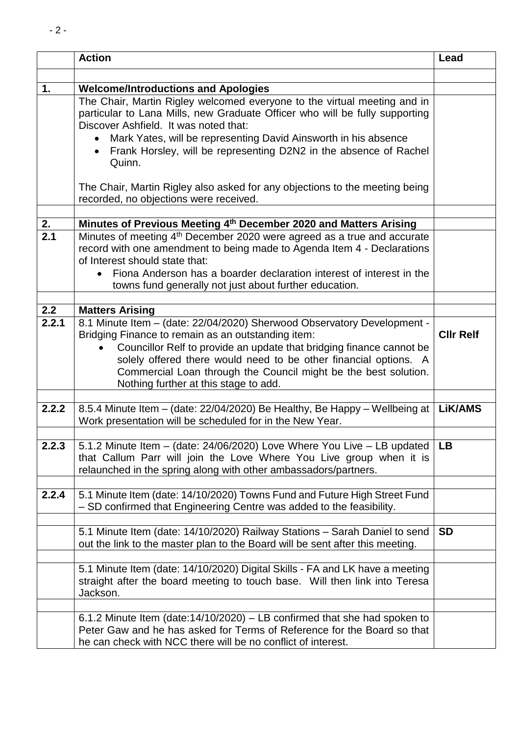|              | <b>Action</b>                                                                                                                                                                                                                                                             | Lead             |
|--------------|---------------------------------------------------------------------------------------------------------------------------------------------------------------------------------------------------------------------------------------------------------------------------|------------------|
|              |                                                                                                                                                                                                                                                                           |                  |
| 1.           | <b>Welcome/Introductions and Apologies</b>                                                                                                                                                                                                                                |                  |
|              | The Chair, Martin Rigley welcomed everyone to the virtual meeting and in<br>particular to Lana Mills, new Graduate Officer who will be fully supporting<br>Discover Ashfield. It was noted that:                                                                          |                  |
|              | Mark Yates, will be representing David Ainsworth in his absence<br>$\bullet$<br>Frank Horsley, will be representing D2N2 in the absence of Rachel<br>Quinn.                                                                                                               |                  |
|              | The Chair, Martin Rigley also asked for any objections to the meeting being<br>recorded, no objections were received.                                                                                                                                                     |                  |
|              |                                                                                                                                                                                                                                                                           |                  |
| 2.<br>2.1    | Minutes of Previous Meeting 4th December 2020 and Matters Arising                                                                                                                                                                                                         |                  |
|              | Minutes of meeting 4 <sup>th</sup> December 2020 were agreed as a true and accurate<br>record with one amendment to being made to Agenda Item 4 - Declarations<br>of Interest should state that:                                                                          |                  |
|              | Fiona Anderson has a boarder declaration interest of interest in the<br>$\bullet$<br>towns fund generally not just about further education.                                                                                                                               |                  |
|              |                                                                                                                                                                                                                                                                           |                  |
| 2.2<br>2.2.1 | <b>Matters Arising</b>                                                                                                                                                                                                                                                    |                  |
|              | 8.1 Minute Item - (date: 22/04/2020) Sherwood Observatory Development -<br>Bridging Finance to remain as an outstanding item:<br>Councillor Relf to provide an update that bridging finance cannot be<br>solely offered there would need to be other financial options. A | <b>CIIr Relf</b> |
|              | Commercial Loan through the Council might be the best solution.<br>Nothing further at this stage to add.                                                                                                                                                                  |                  |
| 2.2.2        | 8.5.4 Minute Item – (date: 22/04/2020) Be Healthy, Be Happy – Wellbeing at  <br>Work presentation will be scheduled for in the New Year.                                                                                                                                  | <b>LiK/AMS</b>   |
| 2.2.3        | 5.1.2 Minute Item - (date: 24/06/2020) Love Where You Live - LB updated<br>that Callum Parr will join the Love Where You Live group when it is<br>relaunched in the spring along with other ambassadors/partners.                                                         | LB.              |
| 2.2.4        | 5.1 Minute Item (date: 14/10/2020) Towns Fund and Future High Street Fund<br>- SD confirmed that Engineering Centre was added to the feasibility.                                                                                                                         |                  |
|              | 5.1 Minute Item (date: 14/10/2020) Railway Stations - Sarah Daniel to send<br>out the link to the master plan to the Board will be sent after this meeting.                                                                                                               | <b>SD</b>        |
|              | 5.1 Minute Item (date: 14/10/2020) Digital Skills - FA and LK have a meeting<br>straight after the board meeting to touch base. Will then link into Teresa<br>Jackson.                                                                                                    |                  |
|              | 6.1.2 Minute Item (date: $14/10/2020$ ) – LB confirmed that she had spoken to<br>Peter Gaw and he has asked for Terms of Reference for the Board so that<br>he can check with NCC there will be no conflict of interest.                                                  |                  |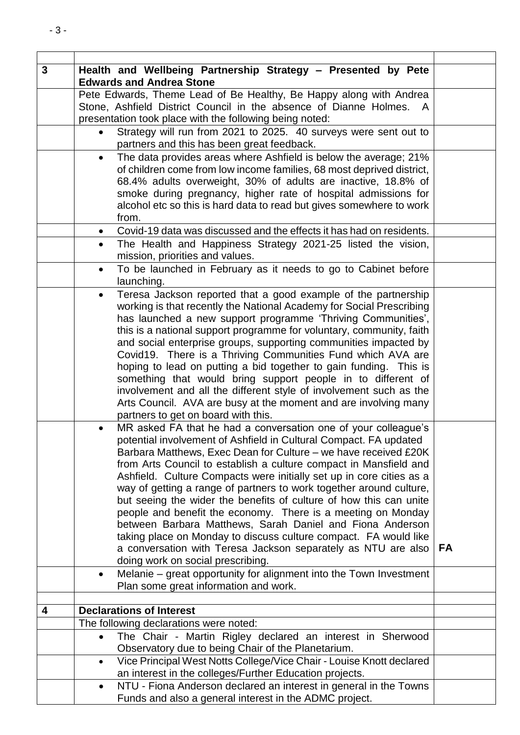| $\mathbf{3}$ | Health and Wellbeing Partnership Strategy - Presented by Pete<br><b>Edwards and Andrea Stone</b> |                                                                        |    |
|--------------|--------------------------------------------------------------------------------------------------|------------------------------------------------------------------------|----|
|              |                                                                                                  | Pete Edwards, Theme Lead of Be Healthy, Be Happy along with Andrea     |    |
|              |                                                                                                  | Stone, Ashfield District Council in the absence of Dianne Holmes.<br>A |    |
|              |                                                                                                  | presentation took place with the following being noted:                |    |
|              |                                                                                                  | Strategy will run from 2021 to 2025. 40 surveys were sent out to       |    |
|              |                                                                                                  | partners and this has been great feedback.                             |    |
|              | $\bullet$                                                                                        | The data provides areas where Ashfield is below the average; 21%       |    |
|              |                                                                                                  | of children come from low income families, 68 most deprived district,  |    |
|              |                                                                                                  | 68.4% adults overweight, 30% of adults are inactive, 18.8% of          |    |
|              |                                                                                                  | smoke during pregnancy, higher rate of hospital admissions for         |    |
|              |                                                                                                  | alcohol etc so this is hard data to read but gives somewhere to work   |    |
|              |                                                                                                  | from.                                                                  |    |
|              | $\bullet$                                                                                        | Covid-19 data was discussed and the effects it has had on residents.   |    |
|              | $\bullet$                                                                                        | The Health and Happiness Strategy 2021-25 listed the vision,           |    |
|              |                                                                                                  | mission, priorities and values.                                        |    |
|              | $\bullet$                                                                                        | To be launched in February as it needs to go to Cabinet before         |    |
|              |                                                                                                  | launching.                                                             |    |
|              | $\bullet$                                                                                        | Teresa Jackson reported that a good example of the partnership         |    |
|              |                                                                                                  | working is that recently the National Academy for Social Prescribing   |    |
|              |                                                                                                  | has launched a new support programme 'Thriving Communities',           |    |
|              |                                                                                                  | this is a national support programme for voluntary, community, faith   |    |
|              |                                                                                                  | and social enterprise groups, supporting communities impacted by       |    |
|              |                                                                                                  |                                                                        |    |
|              |                                                                                                  | Covid19. There is a Thriving Communities Fund which AVA are            |    |
|              |                                                                                                  | hoping to lead on putting a bid together to gain funding. This is      |    |
|              |                                                                                                  | something that would bring support people in to different of           |    |
|              |                                                                                                  | involvement and all the different style of involvement such as the     |    |
|              |                                                                                                  | Arts Council. AVA are busy at the moment and are involving many        |    |
|              |                                                                                                  | partners to get on board with this.                                    |    |
|              | $\bullet$                                                                                        | MR asked FA that he had a conversation one of your colleague's         |    |
|              |                                                                                                  | potential involvement of Ashfield in Cultural Compact. FA updated      |    |
|              |                                                                                                  | Barbara Matthews, Exec Dean for Culture – we have received £20K        |    |
|              |                                                                                                  | from Arts Council to establish a culture compact in Mansfield and      |    |
|              |                                                                                                  | Ashfield. Culture Compacts were initially set up in core cities as a   |    |
|              |                                                                                                  | way of getting a range of partners to work together around culture,    |    |
|              |                                                                                                  | but seeing the wider the benefits of culture of how this can unite     |    |
|              |                                                                                                  |                                                                        |    |
|              |                                                                                                  | people and benefit the economy. There is a meeting on Monday           |    |
|              |                                                                                                  | between Barbara Matthews, Sarah Daniel and Fiona Anderson              |    |
|              |                                                                                                  | taking place on Monday to discuss culture compact. FA would like       |    |
|              |                                                                                                  | a conversation with Teresa Jackson separately as NTU are also          | FA |
|              |                                                                                                  | doing work on social prescribing.                                      |    |
|              | $\bullet$                                                                                        | Melanie - great opportunity for alignment into the Town Investment     |    |
|              |                                                                                                  | Plan some great information and work.                                  |    |
| 4            |                                                                                                  | <b>Declarations of Interest</b>                                        |    |
|              |                                                                                                  | The following declarations were noted:                                 |    |
|              | $\bullet$                                                                                        | The Chair - Martin Rigley declared an interest in Sherwood             |    |
|              |                                                                                                  | Observatory due to being Chair of the Planetarium.                     |    |
|              | $\bullet$                                                                                        | Vice Principal West Notts College/Vice Chair - Louise Knott declared   |    |
|              |                                                                                                  | an interest in the colleges/Further Education projects.                |    |
|              |                                                                                                  |                                                                        |    |
|              | $\bullet$                                                                                        | NTU - Fiona Anderson declared an interest in general in the Towns      |    |
|              |                                                                                                  | Funds and also a general interest in the ADMC project.                 |    |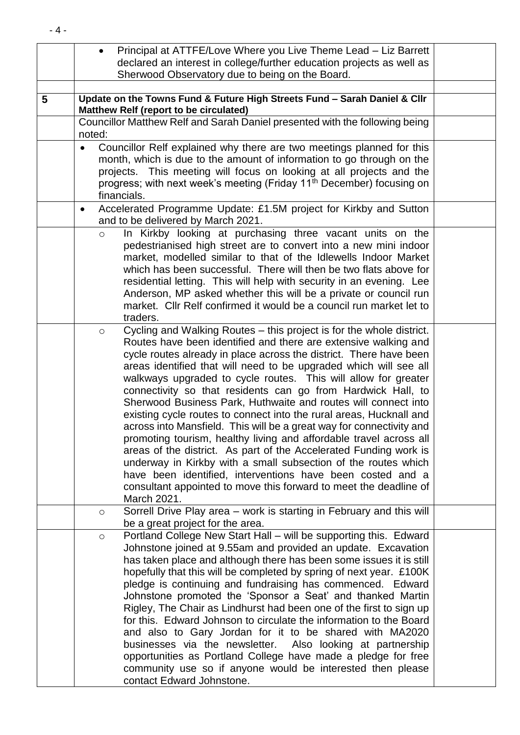|   | Principal at ATTFE/Love Where you Live Theme Lead - Liz Barrett<br>$\bullet$                                                                                                                                                                                                                                                                                                                                                                                                                                                                                                                                                                                                                                                                                                                                                                                                                                                                                                                                    |  |
|---|-----------------------------------------------------------------------------------------------------------------------------------------------------------------------------------------------------------------------------------------------------------------------------------------------------------------------------------------------------------------------------------------------------------------------------------------------------------------------------------------------------------------------------------------------------------------------------------------------------------------------------------------------------------------------------------------------------------------------------------------------------------------------------------------------------------------------------------------------------------------------------------------------------------------------------------------------------------------------------------------------------------------|--|
|   | declared an interest in college/further education projects as well as                                                                                                                                                                                                                                                                                                                                                                                                                                                                                                                                                                                                                                                                                                                                                                                                                                                                                                                                           |  |
|   | Sherwood Observatory due to being on the Board.                                                                                                                                                                                                                                                                                                                                                                                                                                                                                                                                                                                                                                                                                                                                                                                                                                                                                                                                                                 |  |
|   |                                                                                                                                                                                                                                                                                                                                                                                                                                                                                                                                                                                                                                                                                                                                                                                                                                                                                                                                                                                                                 |  |
| 5 | Update on the Towns Fund & Future High Streets Fund - Sarah Daniel & Cllr<br>Matthew Relf (report to be circulated)                                                                                                                                                                                                                                                                                                                                                                                                                                                                                                                                                                                                                                                                                                                                                                                                                                                                                             |  |
|   | Councillor Matthew Relf and Sarah Daniel presented with the following being<br>noted:                                                                                                                                                                                                                                                                                                                                                                                                                                                                                                                                                                                                                                                                                                                                                                                                                                                                                                                           |  |
|   | Councillor Relf explained why there are two meetings planned for this<br>$\bullet$<br>month, which is due to the amount of information to go through on the<br>projects. This meeting will focus on looking at all projects and the<br>progress; with next week's meeting (Friday 11 <sup>th</sup> December) focusing on<br>financials.                                                                                                                                                                                                                                                                                                                                                                                                                                                                                                                                                                                                                                                                         |  |
|   | Accelerated Programme Update: £1.5M project for Kirkby and Sutton<br>$\bullet$<br>and to be delivered by March 2021.                                                                                                                                                                                                                                                                                                                                                                                                                                                                                                                                                                                                                                                                                                                                                                                                                                                                                            |  |
|   | In Kirkby looking at purchasing three vacant units on the<br>$\circ$<br>pedestrianised high street are to convert into a new mini indoor<br>market, modelled similar to that of the Idlewells Indoor Market<br>which has been successful. There will then be two flats above for<br>residential letting. This will help with security in an evening. Lee<br>Anderson, MP asked whether this will be a private or council run<br>market. Cllr Relf confirmed it would be a council run market let to<br>traders.                                                                                                                                                                                                                                                                                                                                                                                                                                                                                                 |  |
|   | Cycling and Walking Routes - this project is for the whole district.<br>$\circ$<br>Routes have been identified and there are extensive walking and<br>cycle routes already in place across the district. There have been<br>areas identified that will need to be upgraded which will see all<br>walkways upgraded to cycle routes. This will allow for greater<br>connectivity so that residents can go from Hardwick Hall, to<br>Sherwood Business Park, Huthwaite and routes will connect into<br>existing cycle routes to connect into the rural areas, Hucknall and<br>across into Mansfield. This will be a great way for connectivity and<br>promoting tourism, healthy living and affordable travel across all<br>areas of the district. As part of the Accelerated Funding work is<br>underway in Kirkby with a small subsection of the routes which<br>have been identified, interventions have been costed and a<br>consultant appointed to move this forward to meet the deadline of<br>March 2021. |  |
|   | Sorrell Drive Play area - work is starting in February and this will<br>$\circ$<br>be a great project for the area.                                                                                                                                                                                                                                                                                                                                                                                                                                                                                                                                                                                                                                                                                                                                                                                                                                                                                             |  |
|   | Portland College New Start Hall - will be supporting this. Edward<br>$\circ$<br>Johnstone joined at 9.55am and provided an update. Excavation<br>has taken place and although there has been some issues it is still<br>hopefully that this will be completed by spring of next year. £100K<br>pledge is continuing and fundraising has commenced. Edward<br>Johnstone promoted the 'Sponsor a Seat' and thanked Martin<br>Rigley, The Chair as Lindhurst had been one of the first to sign up<br>for this. Edward Johnson to circulate the information to the Board<br>and also to Gary Jordan for it to be shared with MA2020<br>businesses via the newsletter. Also looking at partnership<br>opportunities as Portland College have made a pledge for free<br>community use so if anyone would be interested then please<br>contact Edward Johnstone.                                                                                                                                                       |  |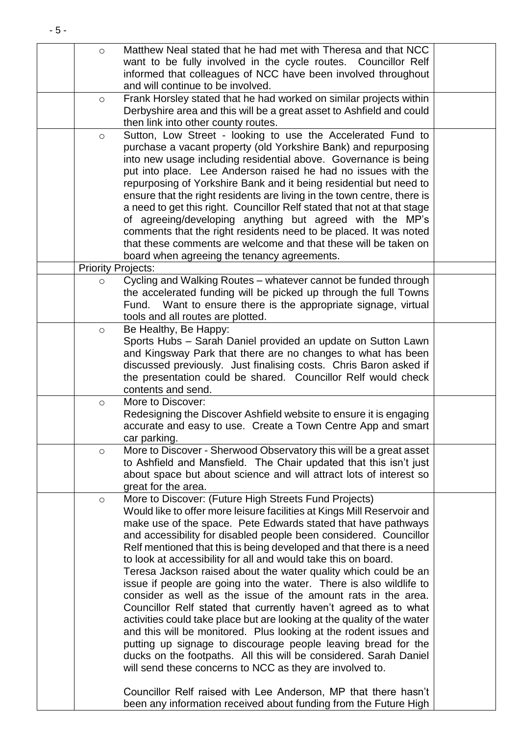| $\circ$                   | Matthew Neal stated that he had met with Theresa and that NCC<br>want to be fully involved in the cycle routes. Councillor Relf<br>informed that colleagues of NCC have been involved throughout<br>and will continue to be involved. |  |
|---------------------------|---------------------------------------------------------------------------------------------------------------------------------------------------------------------------------------------------------------------------------------|--|
| $\circ$                   | Frank Horsley stated that he had worked on similar projects within                                                                                                                                                                    |  |
|                           | Derbyshire area and this will be a great asset to Ashfield and could<br>then link into other county routes.                                                                                                                           |  |
| $\circ$                   | Sutton, Low Street - looking to use the Accelerated Fund to                                                                                                                                                                           |  |
|                           | purchase a vacant property (old Yorkshire Bank) and repurposing<br>into new usage including residential above. Governance is being                                                                                                    |  |
|                           | put into place. Lee Anderson raised he had no issues with the                                                                                                                                                                         |  |
|                           | repurposing of Yorkshire Bank and it being residential but need to                                                                                                                                                                    |  |
|                           | ensure that the right residents are living in the town centre, there is<br>a need to get this right. Councillor Relf stated that not at that stage                                                                                    |  |
|                           | of agreeing/developing anything but agreed with the MP's                                                                                                                                                                              |  |
|                           | comments that the right residents need to be placed. It was noted                                                                                                                                                                     |  |
|                           | that these comments are welcome and that these will be taken on                                                                                                                                                                       |  |
|                           | board when agreeing the tenancy agreements.                                                                                                                                                                                           |  |
| <b>Priority Projects:</b> |                                                                                                                                                                                                                                       |  |
| $\circ$                   | Cycling and Walking Routes - whatever cannot be funded through<br>the accelerated funding will be picked up through the full Towns                                                                                                    |  |
|                           | Want to ensure there is the appropriate signage, virtual<br>Fund.                                                                                                                                                                     |  |
|                           | tools and all routes are plotted.                                                                                                                                                                                                     |  |
| $\circ$                   | Be Healthy, Be Happy:                                                                                                                                                                                                                 |  |
|                           | Sports Hubs - Sarah Daniel provided an update on Sutton Lawn                                                                                                                                                                          |  |
|                           | and Kingsway Park that there are no changes to what has been<br>discussed previously. Just finalising costs. Chris Baron asked if                                                                                                     |  |
|                           | the presentation could be shared. Councillor Relf would check                                                                                                                                                                         |  |
|                           | contents and send.                                                                                                                                                                                                                    |  |
| $\circ$                   | More to Discover:                                                                                                                                                                                                                     |  |
|                           | Redesigning the Discover Ashfield website to ensure it is engaging                                                                                                                                                                    |  |
|                           | accurate and easy to use. Create a Town Centre App and smart<br>car parking.                                                                                                                                                          |  |
| $\circ$                   | More to Discover - Sherwood Observatory this will be a great asset                                                                                                                                                                    |  |
|                           | to Ashfield and Mansfield. The Chair updated that this isn't just                                                                                                                                                                     |  |
|                           | about space but about science and will attract lots of interest so                                                                                                                                                                    |  |
|                           | great for the area.                                                                                                                                                                                                                   |  |
| $\circ$                   | More to Discover: (Future High Streets Fund Projects)<br>Would like to offer more leisure facilities at Kings Mill Reservoir and                                                                                                      |  |
|                           | make use of the space. Pete Edwards stated that have pathways                                                                                                                                                                         |  |
|                           | and accessibility for disabled people been considered. Councillor                                                                                                                                                                     |  |
|                           | Relf mentioned that this is being developed and that there is a need                                                                                                                                                                  |  |
|                           | to look at accessibility for all and would take this on board.                                                                                                                                                                        |  |
|                           | Teresa Jackson raised about the water quality which could be an                                                                                                                                                                       |  |
|                           | issue if people are going into the water. There is also wildlife to<br>consider as well as the issue of the amount rats in the area.                                                                                                  |  |
|                           | Councillor Relf stated that currently haven't agreed as to what                                                                                                                                                                       |  |
|                           | activities could take place but are looking at the quality of the water                                                                                                                                                               |  |
|                           | and this will be monitored. Plus looking at the rodent issues and                                                                                                                                                                     |  |
|                           | putting up signage to discourage people leaving bread for the                                                                                                                                                                         |  |
|                           | ducks on the footpaths. All this will be considered. Sarah Daniel                                                                                                                                                                     |  |
|                           | will send these concerns to NCC as they are involved to.                                                                                                                                                                              |  |
|                           | Councillor Relf raised with Lee Anderson, MP that there hasn't                                                                                                                                                                        |  |
|                           | been any information received about funding from the Future High                                                                                                                                                                      |  |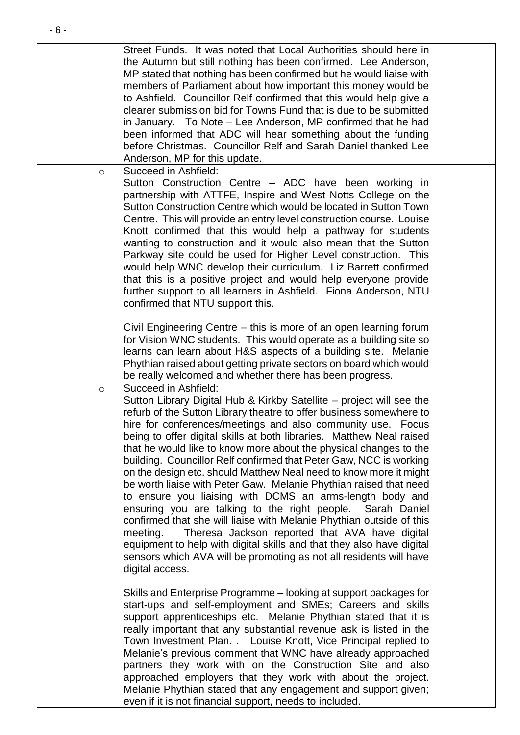|         | Street Funds. It was noted that Local Authorities should here in<br>the Autumn but still nothing has been confirmed. Lee Anderson,<br>MP stated that nothing has been confirmed but he would liaise with<br>members of Parliament about how important this money would be<br>to Ashfield. Councillor Relf confirmed that this would help give a<br>clearer submission bid for Towns Fund that is due to be submitted<br>in January. To Note - Lee Anderson, MP confirmed that he had<br>been informed that ADC will hear something about the funding<br>before Christmas. Councillor Relf and Sarah Daniel thanked Lee<br>Anderson, MP for this update.                                                                                                                                                                                                                                                                                                                                                                           |  |
|---------|-----------------------------------------------------------------------------------------------------------------------------------------------------------------------------------------------------------------------------------------------------------------------------------------------------------------------------------------------------------------------------------------------------------------------------------------------------------------------------------------------------------------------------------------------------------------------------------------------------------------------------------------------------------------------------------------------------------------------------------------------------------------------------------------------------------------------------------------------------------------------------------------------------------------------------------------------------------------------------------------------------------------------------------|--|
| $\circ$ | Succeed in Ashfield:<br>Sutton Construction Centre - ADC have been working in<br>partnership with ATTFE, Inspire and West Notts College on the<br>Sutton Construction Centre which would be located in Sutton Town<br>Centre. This will provide an entry level construction course. Louise<br>Knott confirmed that this would help a pathway for students<br>wanting to construction and it would also mean that the Sutton<br>Parkway site could be used for Higher Level construction. This<br>would help WNC develop their curriculum. Liz Barrett confirmed<br>that this is a positive project and would help everyone provide<br>further support to all learners in Ashfield. Fiona Anderson, NTU<br>confirmed that NTU support this.                                                                                                                                                                                                                                                                                        |  |
|         | Civil Engineering Centre – this is more of an open learning forum<br>for Vision WNC students. This would operate as a building site so<br>learns can learn about H&S aspects of a building site. Melanie<br>Phythian raised about getting private sectors on board which would<br>be really welcomed and whether there has been progress.                                                                                                                                                                                                                                                                                                                                                                                                                                                                                                                                                                                                                                                                                         |  |
| $\circ$ | Succeed in Ashfield:<br>Sutton Library Digital Hub & Kirkby Satellite - project will see the<br>refurb of the Sutton Library theatre to offer business somewhere to<br>hire for conferences/meetings and also community use. Focus<br>being to offer digital skills at both libraries. Matthew Neal raised<br>that he would like to know more about the physical changes to the<br>building. Councillor Relf confirmed that Peter Gaw, NCC is working<br>on the design etc. should Matthew Neal need to know more it might<br>be worth liaise with Peter Gaw. Melanie Phythian raised that need<br>to ensure you liaising with DCMS an arms-length body and<br>ensuring you are talking to the right people. Sarah Daniel<br>confirmed that she will liaise with Melanie Phythian outside of this<br>Theresa Jackson reported that AVA have digital<br>meeting.<br>equipment to help with digital skills and that they also have digital<br>sensors which AVA will be promoting as not all residents will have<br>digital access. |  |
|         | Skills and Enterprise Programme - looking at support packages for<br>start-ups and self-employment and SMEs; Careers and skills<br>support apprenticeships etc. Melanie Phythian stated that it is<br>really important that any substantial revenue ask is listed in the<br>Town Investment Plan. . Louise Knott, Vice Principal replied to<br>Melanie's previous comment that WNC have already approached<br>partners they work with on the Construction Site and also<br>approached employers that they work with about the project.<br>Melanie Phythian stated that any engagement and support given;<br>even if it is not financial support, needs to included.                                                                                                                                                                                                                                                                                                                                                               |  |

- 6 -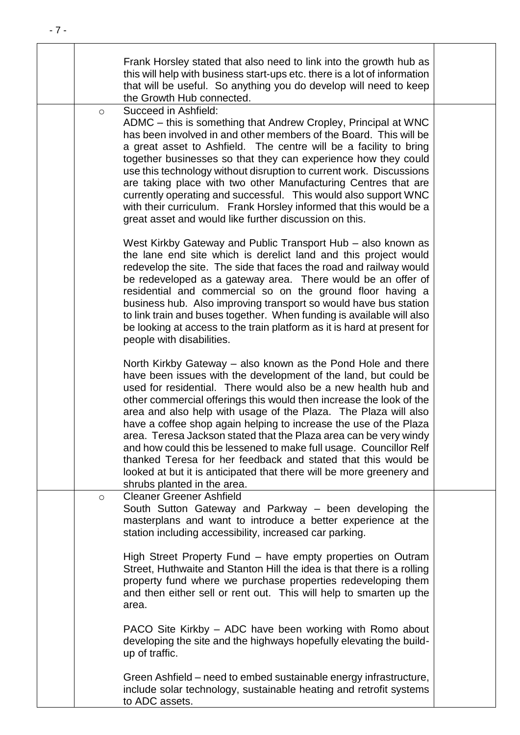| Frank Horsley stated that also need to link into the growth hub as<br>this will help with business start-ups etc. there is a lot of information<br>that will be useful. So anything you do develop will need to keep<br>the Growth Hub connected.                                                                                                                                                                                                                                                                                                                                                                                                                                                                                   |  |
|-------------------------------------------------------------------------------------------------------------------------------------------------------------------------------------------------------------------------------------------------------------------------------------------------------------------------------------------------------------------------------------------------------------------------------------------------------------------------------------------------------------------------------------------------------------------------------------------------------------------------------------------------------------------------------------------------------------------------------------|--|
| Succeed in Ashfield:<br>$\circ$<br>ADMC – this is something that Andrew Cropley, Principal at WNC<br>has been involved in and other members of the Board. This will be<br>a great asset to Ashfield. The centre will be a facility to bring<br>together businesses so that they can experience how they could<br>use this technology without disruption to current work. Discussions<br>are taking place with two other Manufacturing Centres that are<br>currently operating and successful. This would also support WNC<br>with their curriculum. Frank Horsley informed that this would be a<br>great asset and would like further discussion on this.                                                                           |  |
| West Kirkby Gateway and Public Transport Hub – also known as<br>the lane end site which is derelict land and this project would<br>redevelop the site. The side that faces the road and railway would<br>be redeveloped as a gateway area. There would be an offer of<br>residential and commercial so on the ground floor having a<br>business hub. Also improving transport so would have bus station<br>to link train and buses together. When funding is available will also<br>be looking at access to the train platform as it is hard at present for<br>people with disabilities.                                                                                                                                            |  |
| North Kirkby Gateway – also known as the Pond Hole and there<br>have been issues with the development of the land, but could be<br>used for residential. There would also be a new health hub and<br>other commercial offerings this would then increase the look of the<br>area and also help with usage of the Plaza. The Plaza will also<br>have a coffee shop again helping to increase the use of the Plaza<br>area. Teresa Jackson stated that the Plaza area can be very windy<br>and how could this be lessened to make full usage. Councillor Relf<br>thanked Teresa for her feedback and stated that this would be<br>looked at but it is anticipated that there will be more greenery and<br>shrubs planted in the area. |  |
| <b>Cleaner Greener Ashfield</b><br>$\circ$<br>South Sutton Gateway and Parkway – been developing the<br>masterplans and want to introduce a better experience at the<br>station including accessibility, increased car parking.                                                                                                                                                                                                                                                                                                                                                                                                                                                                                                     |  |
| High Street Property Fund – have empty properties on Outram<br>Street, Huthwaite and Stanton Hill the idea is that there is a rolling<br>property fund where we purchase properties redeveloping them<br>and then either sell or rent out. This will help to smarten up the<br>area.                                                                                                                                                                                                                                                                                                                                                                                                                                                |  |
| PACO Site Kirkby - ADC have been working with Romo about<br>developing the site and the highways hopefully elevating the build-<br>up of traffic.                                                                                                                                                                                                                                                                                                                                                                                                                                                                                                                                                                                   |  |
| Green Ashfield – need to embed sustainable energy infrastructure,<br>include solar technology, sustainable heating and retrofit systems<br>to ADC assets.                                                                                                                                                                                                                                                                                                                                                                                                                                                                                                                                                                           |  |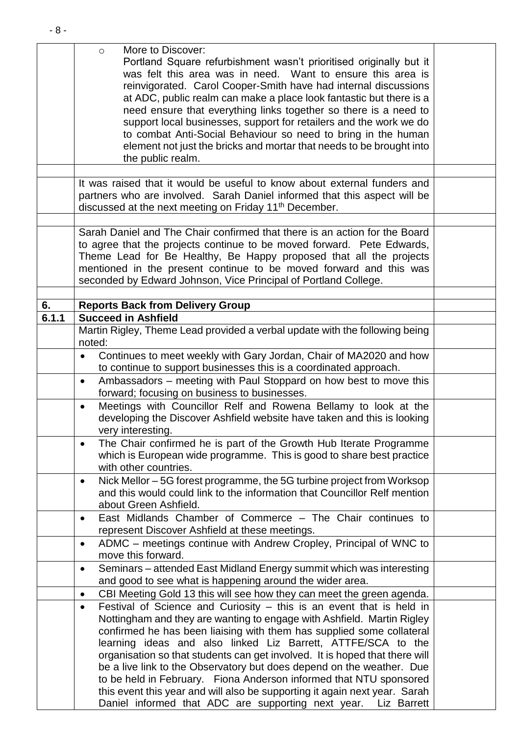|       | More to Discover:<br>$\circ$<br>Portland Square refurbishment wasn't prioritised originally but it<br>was felt this area was in need. Want to ensure this area is<br>reinvigorated. Carol Cooper-Smith have had internal discussions<br>at ADC, public realm can make a place look fantastic but there is a<br>need ensure that everything links together so there is a need to<br>support local businesses, support for retailers and the work we do<br>to combat Anti-Social Behaviour so need to bring in the human<br>element not just the bricks and mortar that needs to be brought into<br>the public realm.                                                                  |  |
|-------|--------------------------------------------------------------------------------------------------------------------------------------------------------------------------------------------------------------------------------------------------------------------------------------------------------------------------------------------------------------------------------------------------------------------------------------------------------------------------------------------------------------------------------------------------------------------------------------------------------------------------------------------------------------------------------------|--|
|       |                                                                                                                                                                                                                                                                                                                                                                                                                                                                                                                                                                                                                                                                                      |  |
|       | It was raised that it would be useful to know about external funders and<br>partners who are involved. Sarah Daniel informed that this aspect will be<br>discussed at the next meeting on Friday 11 <sup>th</sup> December.                                                                                                                                                                                                                                                                                                                                                                                                                                                          |  |
|       |                                                                                                                                                                                                                                                                                                                                                                                                                                                                                                                                                                                                                                                                                      |  |
|       | Sarah Daniel and The Chair confirmed that there is an action for the Board<br>to agree that the projects continue to be moved forward. Pete Edwards,<br>Theme Lead for Be Healthy, Be Happy proposed that all the projects<br>mentioned in the present continue to be moved forward and this was<br>seconded by Edward Johnson, Vice Principal of Portland College.                                                                                                                                                                                                                                                                                                                  |  |
|       |                                                                                                                                                                                                                                                                                                                                                                                                                                                                                                                                                                                                                                                                                      |  |
| 6.    | <b>Reports Back from Delivery Group</b>                                                                                                                                                                                                                                                                                                                                                                                                                                                                                                                                                                                                                                              |  |
| 6.1.1 | <b>Succeed in Ashfield</b>                                                                                                                                                                                                                                                                                                                                                                                                                                                                                                                                                                                                                                                           |  |
|       | Martin Rigley, Theme Lead provided a verbal update with the following being<br>noted:                                                                                                                                                                                                                                                                                                                                                                                                                                                                                                                                                                                                |  |
|       | Continues to meet weekly with Gary Jordan, Chair of MA2020 and how<br>$\bullet$<br>to continue to support businesses this is a coordinated approach.                                                                                                                                                                                                                                                                                                                                                                                                                                                                                                                                 |  |
|       | Ambassadors – meeting with Paul Stoppard on how best to move this<br>$\bullet$<br>forward; focusing on business to businesses.                                                                                                                                                                                                                                                                                                                                                                                                                                                                                                                                                       |  |
|       | Meetings with Councillor Relf and Rowena Bellamy to look at the<br>$\bullet$<br>developing the Discover Ashfield website have taken and this is looking<br>very interesting.                                                                                                                                                                                                                                                                                                                                                                                                                                                                                                         |  |
|       | The Chair confirmed he is part of the Growth Hub Iterate Programme<br>$\bullet$<br>which is European wide programme. This is good to share best practice<br>with other countries.                                                                                                                                                                                                                                                                                                                                                                                                                                                                                                    |  |
|       | Nick Mellor – 5G forest programme, the 5G turbine project from Worksop<br>$\bullet$<br>and this would could link to the information that Councillor Relf mention<br>about Green Ashfield.                                                                                                                                                                                                                                                                                                                                                                                                                                                                                            |  |
|       | East Midlands Chamber of Commerce - The Chair continues to<br>$\bullet$<br>represent Discover Ashfield at these meetings.                                                                                                                                                                                                                                                                                                                                                                                                                                                                                                                                                            |  |
|       | ADMC - meetings continue with Andrew Cropley, Principal of WNC to<br>$\bullet$<br>move this forward.                                                                                                                                                                                                                                                                                                                                                                                                                                                                                                                                                                                 |  |
|       | Seminars – attended East Midland Energy summit which was interesting<br>$\bullet$<br>and good to see what is happening around the wider area.                                                                                                                                                                                                                                                                                                                                                                                                                                                                                                                                        |  |
|       | CBI Meeting Gold 13 this will see how they can meet the green agenda.<br>$\bullet$                                                                                                                                                                                                                                                                                                                                                                                                                                                                                                                                                                                                   |  |
|       | Festival of Science and Curiosity $-$ this is an event that is held in<br>$\bullet$<br>Nottingham and they are wanting to engage with Ashfield. Martin Rigley<br>confirmed he has been liaising with them has supplied some collateral<br>learning ideas and also linked Liz Barrett, ATTFE/SCA to the<br>organisation so that students can get involved. It is hoped that there will<br>be a live link to the Observatory but does depend on the weather. Due<br>to be held in February. Fiona Anderson informed that NTU sponsored<br>this event this year and will also be supporting it again next year. Sarah<br>Daniel informed that ADC are supporting next year. Liz Barrett |  |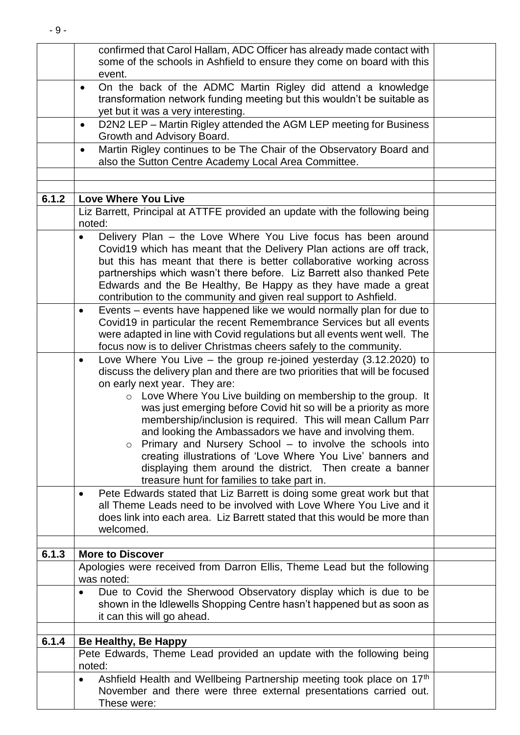|       | confirmed that Carol Hallam, ADC Officer has already made contact with<br>some of the schools in Ashfield to ensure they come on board with this                                                                                                                                                                                                                                                                                                                                                                                                                                                                                                                                                         |  |
|-------|----------------------------------------------------------------------------------------------------------------------------------------------------------------------------------------------------------------------------------------------------------------------------------------------------------------------------------------------------------------------------------------------------------------------------------------------------------------------------------------------------------------------------------------------------------------------------------------------------------------------------------------------------------------------------------------------------------|--|
|       | event.<br>On the back of the ADMC Martin Rigley did attend a knowledge<br>$\bullet$                                                                                                                                                                                                                                                                                                                                                                                                                                                                                                                                                                                                                      |  |
|       | transformation network funding meeting but this wouldn't be suitable as<br>yet but it was a very interesting.                                                                                                                                                                                                                                                                                                                                                                                                                                                                                                                                                                                            |  |
|       | D2N2 LEP - Martin Rigley attended the AGM LEP meeting for Business<br>$\bullet$<br>Growth and Advisory Board.                                                                                                                                                                                                                                                                                                                                                                                                                                                                                                                                                                                            |  |
|       | Martin Rigley continues to be The Chair of the Observatory Board and<br>$\bullet$<br>also the Sutton Centre Academy Local Area Committee.                                                                                                                                                                                                                                                                                                                                                                                                                                                                                                                                                                |  |
|       |                                                                                                                                                                                                                                                                                                                                                                                                                                                                                                                                                                                                                                                                                                          |  |
| 6.1.2 | <b>Love Where You Live</b><br>Liz Barrett, Principal at ATTFE provided an update with the following being                                                                                                                                                                                                                                                                                                                                                                                                                                                                                                                                                                                                |  |
|       | noted:                                                                                                                                                                                                                                                                                                                                                                                                                                                                                                                                                                                                                                                                                                   |  |
|       | Delivery Plan – the Love Where You Live focus has been around<br>Covid19 which has meant that the Delivery Plan actions are off track,<br>but this has meant that there is better collaborative working across<br>partnerships which wasn't there before. Liz Barrett also thanked Pete<br>Edwards and the Be Healthy, Be Happy as they have made a great                                                                                                                                                                                                                                                                                                                                                |  |
|       | contribution to the community and given real support to Ashfield.                                                                                                                                                                                                                                                                                                                                                                                                                                                                                                                                                                                                                                        |  |
|       | Events – events have happened like we would normally plan for due to<br>$\bullet$<br>Covid19 in particular the recent Remembrance Services but all events<br>were adapted in line with Covid regulations but all events went well. The<br>focus now is to deliver Christmas cheers safely to the community.                                                                                                                                                                                                                                                                                                                                                                                              |  |
|       | Love Where You Live $-$ the group re-joined yesterday (3.12.2020) to<br>$\bullet$<br>discuss the delivery plan and there are two priorities that will be focused<br>on early next year. They are:<br>o Love Where You Live building on membership to the group. It<br>was just emerging before Covid hit so will be a priority as more<br>membership/inclusion is required. This will mean Callum Parr<br>and looking the Ambassadors we have and involving them.<br>Primary and Nursery School – to involve the schools into<br>creating illustrations of 'Love Where You Live' banners and<br>displaying them around the district. Then create a banner<br>treasure hunt for families to take part in. |  |
|       | Pete Edwards stated that Liz Barrett is doing some great work but that<br>$\bullet$<br>all Theme Leads need to be involved with Love Where You Live and it<br>does link into each area. Liz Barrett stated that this would be more than<br>welcomed.                                                                                                                                                                                                                                                                                                                                                                                                                                                     |  |
| 6.1.3 | <b>More to Discover</b>                                                                                                                                                                                                                                                                                                                                                                                                                                                                                                                                                                                                                                                                                  |  |
|       | Apologies were received from Darron Ellis, Theme Lead but the following<br>was noted:                                                                                                                                                                                                                                                                                                                                                                                                                                                                                                                                                                                                                    |  |
|       | Due to Covid the Sherwood Observatory display which is due to be<br>$\bullet$<br>shown in the Idlewells Shopping Centre hasn't happened but as soon as<br>it can this will go ahead.                                                                                                                                                                                                                                                                                                                                                                                                                                                                                                                     |  |
| 6.1.4 | Be Healthy, Be Happy                                                                                                                                                                                                                                                                                                                                                                                                                                                                                                                                                                                                                                                                                     |  |
|       | Pete Edwards, Theme Lead provided an update with the following being<br>noted:                                                                                                                                                                                                                                                                                                                                                                                                                                                                                                                                                                                                                           |  |
|       | Ashfield Health and Wellbeing Partnership meeting took place on 17 <sup>th</sup><br>$\bullet$<br>November and there were three external presentations carried out.<br>These were:                                                                                                                                                                                                                                                                                                                                                                                                                                                                                                                        |  |

- 9 -